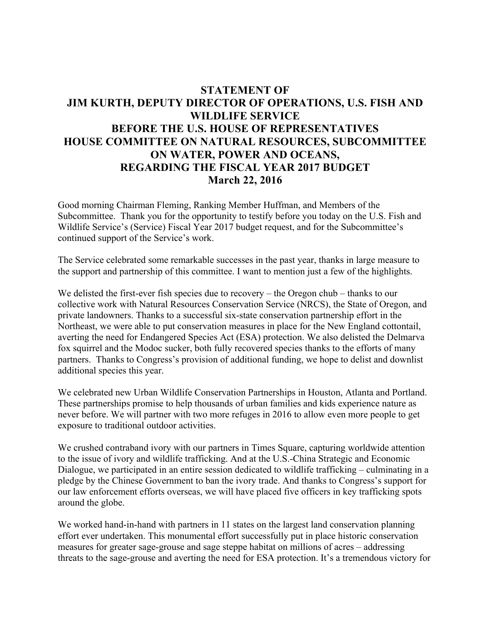## **STATEMENT OF JIM KURTH, DEPUTY DIRECTOR OF OPERATIONS, U.S. FISH AND WILDLIFE SERVICE BEFORE THE U.S. HOUSE OF REPRESENTATIVES HOUSE COMMITTEE ON NATURAL RESOURCES, SUBCOMMITTEE ON WATER, POWER AND OCEANS, REGARDING THE FISCAL YEAR 2017 BUDGET March 22, 2016**

Good morning Chairman Fleming, Ranking Member Huffman, and Members of the Subcommittee. Thank you for the opportunity to testify before you today on the U.S. Fish and Wildlife Service's (Service) Fiscal Year 2017 budget request, and for the Subcommittee's continued support of the Service's work.

The Service celebrated some remarkable successes in the past year, thanks in large measure to the support and partnership of this committee. I want to mention just a few of the highlights.

We delisted the first-ever fish species due to recovery – the Oregon chub – thanks to our collective work with Natural Resources Conservation Service (NRCS), the State of Oregon, and private landowners. Thanks to a successful six-state conservation partnership effort in the Northeast, we were able to put conservation measures in place for the New England cottontail, averting the need for Endangered Species Act (ESA) protection. We also delisted the Delmarva fox squirrel and the Modoc sucker, both fully recovered species thanks to the efforts of many partners. Thanks to Congress's provision of additional funding, we hope to delist and downlist additional species this year.

We celebrated new Urban Wildlife Conservation Partnerships in Houston, Atlanta and Portland. These partnerships promise to help thousands of urban families and kids experience nature as never before. We will partner with two more refuges in 2016 to allow even more people to get exposure to traditional outdoor activities.

We crushed contraband ivory with our partners in Times Square, capturing worldwide attention to the issue of ivory and wildlife trafficking. And at the U.S.-China Strategic and Economic Dialogue, we participated in an entire session dedicated to wildlife trafficking – culminating in a pledge by the Chinese Government to ban the ivory trade. And thanks to Congress's support for our law enforcement efforts overseas, we will have placed five officers in key trafficking spots around the globe.

We worked hand-in-hand with partners in 11 states on the largest land conservation planning effort ever undertaken. This monumental effort successfully put in place historic conservation measures for greater sage-grouse and sage steppe habitat on millions of acres – addressing threats to the sage-grouse and averting the need for ESA protection. It's a tremendous victory for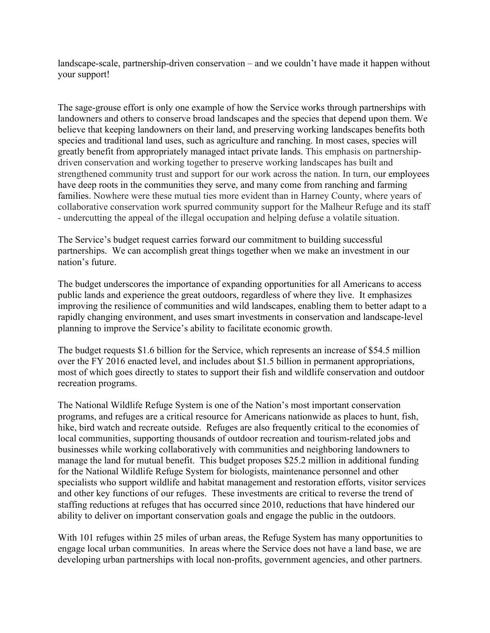landscape-scale, partnership-driven conservation – and we couldn't have made it happen without your support!

The sage-grouse effort is only one example of how the Service works through partnerships with landowners and others to conserve broad landscapes and the species that depend upon them. We believe that keeping landowners on their land, and preserving working landscapes benefits both species and traditional land uses, such as agriculture and ranching. In most cases, species will greatly benefit from appropriately managed intact private lands. This emphasis on partnershipdriven conservation and working together to preserve working landscapes has built and strengthened community trust and support for our work across the nation. In turn, our employees have deep roots in the communities they serve, and many come from ranching and farming families. Nowhere were these mutual ties more evident than in Harney County, where years of collaborative conservation work spurred community support for the Malheur Refuge and its staff - undercutting the appeal of the illegal occupation and helping defuse a volatile situation.

The Service's budget request carries forward our commitment to building successful partnerships. We can accomplish great things together when we make an investment in our nation's future.

The budget underscores the importance of expanding opportunities for all Americans to access public lands and experience the great outdoors, regardless of where they live. It emphasizes improving the resilience of communities and wild landscapes, enabling them to better adapt to a rapidly changing environment, and uses smart investments in conservation and landscape-level planning to improve the Service's ability to facilitate economic growth.

The budget requests \$1.6 billion for the Service, which represents an increase of \$54.5 million over the FY 2016 enacted level, and includes about \$1.5 billion in permanent appropriations, most of which goes directly to states to support their fish and wildlife conservation and outdoor recreation programs.

The National Wildlife Refuge System is one of the Nation's most important conservation programs, and refuges are a critical resource for Americans nationwide as places to hunt, fish, hike, bird watch and recreate outside. Refuges are also frequently critical to the economies of local communities, supporting thousands of outdoor recreation and tourism-related jobs and businesses while working collaboratively with communities and neighboring landowners to manage the land for mutual benefit.This budget proposes \$25.2 million in additional funding for the National Wildlife Refuge System for biologists, maintenance personnel and other specialists who support wildlife and habitat management and restoration efforts, visitor services and other key functions of our refuges. These investments are critical to reverse the trend of staffing reductions at refuges that has occurred since 2010, reductions that have hindered our ability to deliver on important conservation goals and engage the public in the outdoors.

With 101 refuges within 25 miles of urban areas, the Refuge System has many opportunities to engage local urban communities. In areas where the Service does not have a land base, we are developing urban partnerships with local non-profits, government agencies, and other partners.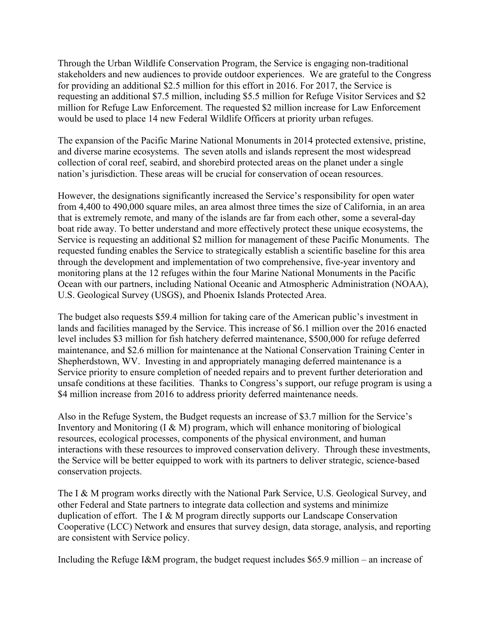Through the Urban Wildlife Conservation Program, the Service is engaging non-traditional stakeholders and new audiences to provide outdoor experiences. We are grateful to the Congress for providing an additional \$2.5 million for this effort in 2016. For 2017, the Service is requesting an additional \$7.5 million, including \$5.5 million for Refuge Visitor Services and \$2 million for Refuge Law Enforcement. The requested \$2 million increase for Law Enforcement would be used to place 14 new Federal Wildlife Officers at priority urban refuges.

The expansion of the Pacific Marine National Monuments in 2014 protected extensive, pristine, and diverse marine ecosystems. The seven atolls and islands represent the most widespread collection of coral reef, seabird, and shorebird protected areas on the planet under a single nation's jurisdiction. These areas will be crucial for conservation of ocean resources.

However, the designations significantly increased the Service's responsibility for open water from 4,400 to 490,000 square miles, an area almost three times the size of California, in an area that is extremely remote, and many of the islands are far from each other, some a several-day boat ride away. To better understand and more effectively protect these unique ecosystems, the Service is requesting an additional \$2 million for management of these Pacific Monuments. The requested funding enables the Service to strategically establish a scientific baseline for this area through the development and implementation of two comprehensive, five-year inventory and monitoring plans at the 12 refuges within the four Marine National Monuments in the Pacific Ocean with our partners, including National Oceanic and Atmospheric Administration (NOAA), U.S. Geological Survey (USGS), and Phoenix Islands Protected Area.

The budget also requests \$59.4 million for taking care of the American public's investment in lands and facilities managed by the Service. This increase of \$6.1 million over the 2016 enacted level includes \$3 million for fish hatchery deferred maintenance, \$500,000 for refuge deferred maintenance, and \$2.6 million for maintenance at the National Conservation Training Center in Shepherdstown, WV. Investing in and appropriately managing deferred maintenance is a Service priority to ensure completion of needed repairs and to prevent further deterioration and unsafe conditions at these facilities. Thanks to Congress's support, our refuge program is using a \$4 million increase from 2016 to address priority deferred maintenance needs.

Also in the Refuge System, the Budget requests an increase of \$3.7 million for the Service's Inventory and Monitoring  $(I \& M)$  program, which will enhance monitoring of biological resources, ecological processes, components of the physical environment, and human interactions with these resources to improved conservation delivery. Through these investments, the Service will be better equipped to work with its partners to deliver strategic, science-based conservation projects.

The I & M program works directly with the National Park Service, U.S. Geological Survey, and other Federal and State partners to integrate data collection and systems and minimize duplication of effort. The I & M program directly supports our Landscape Conservation Cooperative (LCC) Network and ensures that survey design, data storage, analysis, and reporting are consistent with Service policy.

Including the Refuge I&M program, the budget request includes \$65.9 million – an increase of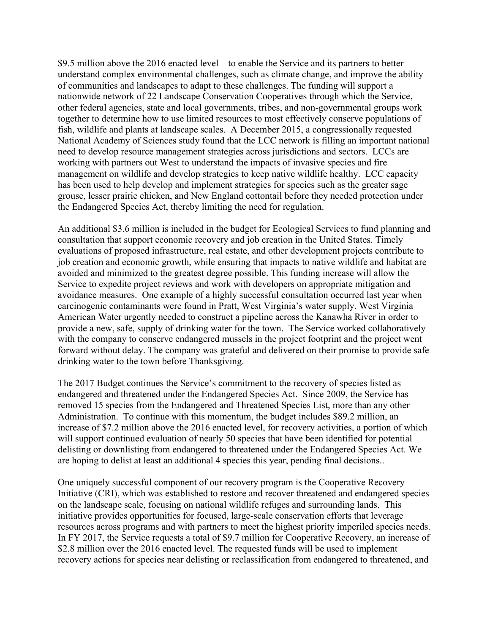\$9.5 million above the 2016 enacted level – to enable the Service and its partners to better understand complex environmental challenges, such as climate change, and improve the ability of communities and landscapes to adapt to these challenges. The funding will support a nationwide network of 22 Landscape Conservation Cooperatives through which the Service, other federal agencies, state and local governments, tribes, and non-governmental groups work together to determine how to use limited resources to most effectively conserve populations of fish, wildlife and plants at landscape scales. A December 2015, a congressionally requested National Academy of Sciences study found that the LCC network is filling an important national need to develop resource management strategies across jurisdictions and sectors. LCCs are working with partners out West to understand the impacts of invasive species and fire management on wildlife and develop strategies to keep native wildlife healthy. LCC capacity has been used to help develop and implement strategies for species such as the greater sage grouse, lesser prairie chicken, and New England cottontail before they needed protection under the Endangered Species Act, thereby limiting the need for regulation.

An additional \$3.6 million is included in the budget for Ecological Services to fund planning and consultation that support economic recovery and job creation in the United States. Timely evaluations of proposed infrastructure, real estate, and other development projects contribute to job creation and economic growth, while ensuring that impacts to native wildlife and habitat are avoided and minimized to the greatest degree possible. This funding increase will allow the Service to expedite project reviews and work with developers on appropriate mitigation and avoidance measures. One example of a highly successful consultation occurred last year when carcinogenic contaminants were found in Pratt, West Virginia's water supply. West Virginia American Water urgently needed to construct a pipeline across the Kanawha River in order to provide a new, safe, supply of drinking water for the town. The Service worked collaboratively with the company to conserve endangered mussels in the project footprint and the project went forward without delay. The company was grateful and delivered on their promise to provide safe drinking water to the town before Thanksgiving.

The 2017 Budget continues the Service's commitment to the recovery of species listed as endangered and threatened under the Endangered Species Act. Since 2009, the Service has removed 15 species from the Endangered and Threatened Species List, more than any other Administration. To continue with this momentum, the budget includes \$89.2 million, an increase of \$7.2 million above the 2016 enacted level, for recovery activities, a portion of which will support continued evaluation of nearly 50 species that have been identified for potential delisting or downlisting from endangered to threatened under the Endangered Species Act. We are hoping to delist at least an additional 4 species this year, pending final decisions..

One uniquely successful component of our recovery program is the Cooperative Recovery Initiative (CRI), which was established to restore and recover threatened and endangered species on the landscape scale, focusing on national wildlife refuges and surrounding lands. This initiative provides opportunities for focused, large-scale conservation efforts that leverage resources across programs and with partners to meet the highest priority imperiled species needs. In FY 2017, the Service requests a total of \$9.7 million for Cooperative Recovery, an increase of \$2.8 million over the 2016 enacted level. The requested funds will be used to implement recovery actions for species near delisting or reclassification from endangered to threatened, and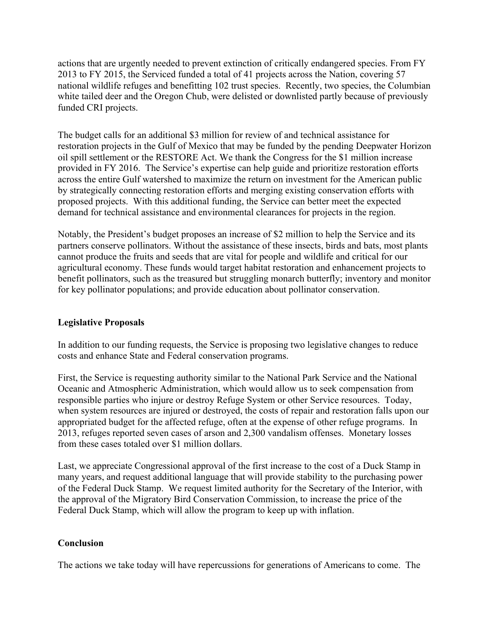actions that are urgently needed to prevent extinction of critically endangered species. From FY 2013 to FY 2015, the Serviced funded a total of 41 projects across the Nation, covering 57 national wildlife refuges and benefitting 102 trust species. Recently, two species, the Columbian white tailed deer and the Oregon Chub, were delisted or downlisted partly because of previously funded CRI projects.

The budget calls for an additional \$3 million for review of and technical assistance for restoration projects in the Gulf of Mexico that may be funded by the pending Deepwater Horizon oil spill settlement or the RESTORE Act. We thank the Congress for the \$1 million increase provided in FY 2016. The Service's expertise can help guide and prioritize restoration efforts across the entire Gulf watershed to maximize the return on investment for the American public by strategically connecting restoration efforts and merging existing conservation efforts with proposed projects. With this additional funding, the Service can better meet the expected demand for technical assistance and environmental clearances for projects in the region.

Notably, the President's budget proposes an increase of \$2 million to help the Service and its partners conserve pollinators. Without the assistance of these insects, birds and bats, most plants cannot produce the fruits and seeds that are vital for people and wildlife and critical for our agricultural economy. These funds would target habitat restoration and enhancement projects to benefit pollinators, such as the treasured but struggling monarch butterfly; inventory and monitor for key pollinator populations; and provide education about pollinator conservation.

## **Legislative Proposals**

In addition to our funding requests, the Service is proposing two legislative changes to reduce costs and enhance State and Federal conservation programs.

First, the Service is requesting authority similar to the National Park Service and the National Oceanic and Atmospheric Administration, which would allow us to seek compensation from responsible parties who injure or destroy Refuge System or other Service resources. Today, when system resources are injured or destroyed, the costs of repair and restoration falls upon our appropriated budget for the affected refuge, often at the expense of other refuge programs. In 2013, refuges reported seven cases of arson and 2,300 vandalism offenses. Monetary losses from these cases totaled over \$1 million dollars.

Last, we appreciate Congressional approval of the first increase to the cost of a Duck Stamp in many years, and request additional language that will provide stability to the purchasing power of the Federal Duck Stamp. We request limited authority for the Secretary of the Interior, with the approval of the Migratory Bird Conservation Commission, to increase the price of the Federal Duck Stamp, which will allow the program to keep up with inflation.

## **Conclusion**

The actions we take today will have repercussions for generations of Americans to come. The